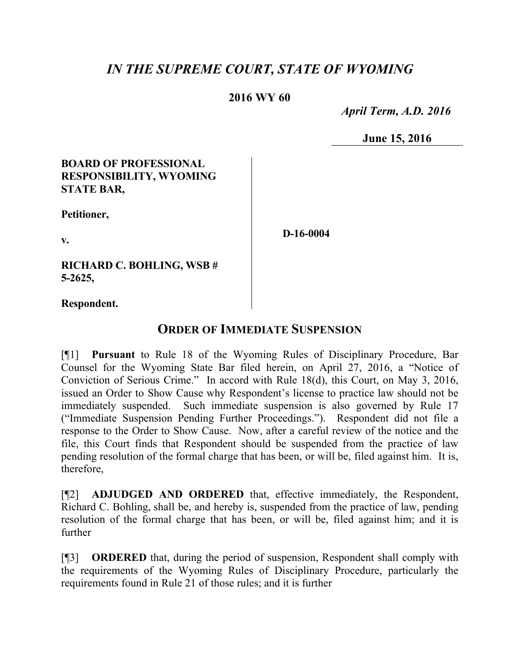# *IN THE SUPREME COURT, STATE OF WYOMING*

### **2016 WY 60**

 *April Term, A.D. 2016*

**June 15, 2016**

#### **BOARD OF PROFESSIONAL RESPONSIBILITY, WYOMING STATE BAR,**

**Petitioner,**

**v.**

**RICHARD C. BOHLING, WSB # 5-2625,**

**Respondent.**

## **ORDER OF IMMEDIATE SUSPENSION**

[¶1] **Pursuant** to Rule 18 of the Wyoming Rules of Disciplinary Procedure, Bar Counsel for the Wyoming State Bar filed herein, on April 27, 2016, a "Notice of Conviction of Serious Crime." In accord with Rule 18(d), this Court, on May 3, 2016, issued an Order to Show Cause why Respondent's license to practice law should not be immediately suspended. Such immediate suspension is also governed by Rule 17 ("Immediate Suspension Pending Further Proceedings."). Respondent did not file a response to the Order to Show Cause. Now, after a careful review of the notice and the file, this Court finds that Respondent should be suspended from the practice of law pending resolution of the formal charge that has been, or will be, filed against him. It is, therefore,

[¶2] **ADJUDGED AND ORDERED** that, effective immediately, the Respondent, Richard C. Bohling, shall be, and hereby is, suspended from the practice of law, pending resolution of the formal charge that has been, or will be, filed against him; and it is further

[¶3] **ORDERED** that, during the period of suspension, Respondent shall comply with the requirements of the Wyoming Rules of Disciplinary Procedure, particularly the requirements found in Rule 21 of those rules; and it is further

**D-16-0004**